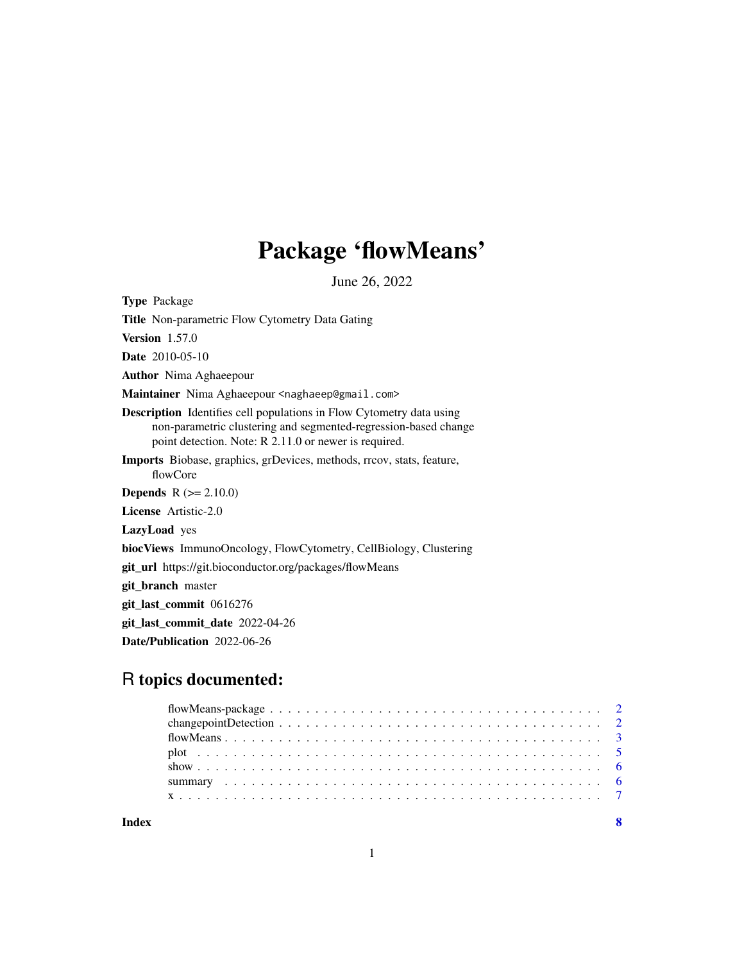## Package 'flowMeans'

June 26, 2022

Type Package

Title Non-parametric Flow Cytometry Data Gating

Version 1.57.0

Date 2010-05-10

Author Nima Aghaeepour

Maintainer Nima Aghaeepour <naghaeep@gmail.com>

Description Identifies cell populations in Flow Cytometry data using non-parametric clustering and segmented-regression-based change point detection. Note: R 2.11.0 or newer is required.

Imports Biobase, graphics, grDevices, methods, rrcov, stats, feature, flowCore

**Depends**  $R (= 2.10.0)$ 

License Artistic-2.0

LazyLoad yes

biocViews ImmunoOncology, FlowCytometry, CellBiology, Clustering

git\_url https://git.bioconductor.org/packages/flowMeans

git\_branch master

git\_last\_commit 0616276

git\_last\_commit\_date 2022-04-26

Date/Publication 2022-06-26

### R topics documented:

**Index** [8](#page-7-0) **8**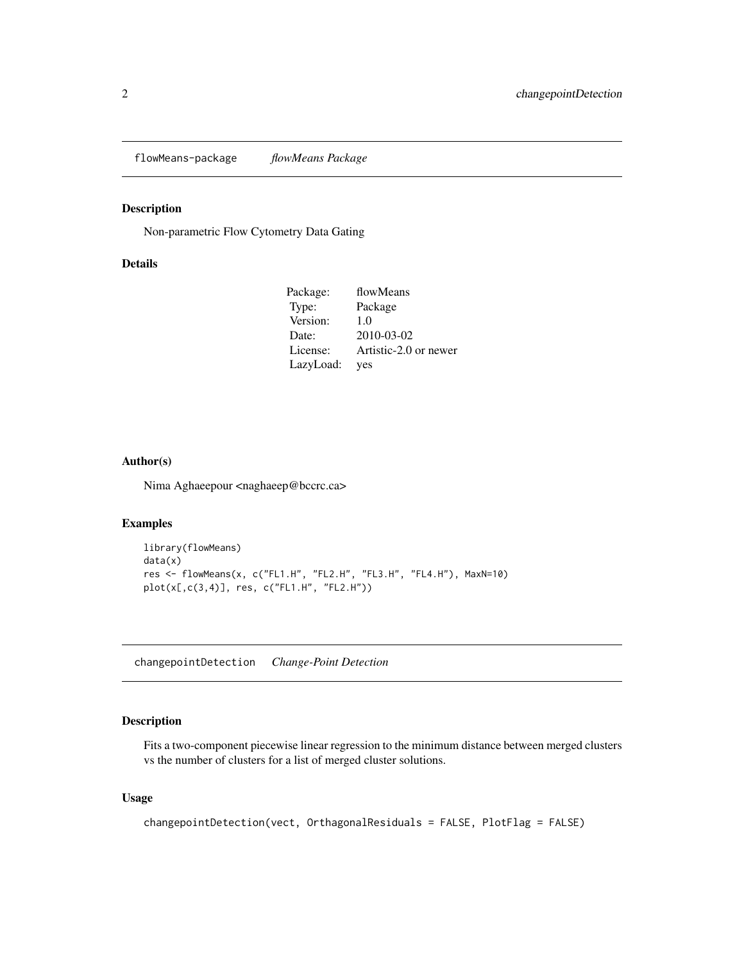<span id="page-1-0"></span>flowMeans-package *flowMeans Package*

#### Description

Non-parametric Flow Cytometry Data Gating

#### Details

| Package:  | flowMeans             |
|-----------|-----------------------|
| Type:     | Package               |
| Version:  | 1.0                   |
| Date:     | 2010-03-02            |
| License:  | Artistic-2.0 or newer |
| LazyLoad: | yes                   |

#### Author(s)

Nima Aghaeepour <naghaeep@bccrc.ca>

#### Examples

```
library(flowMeans)
data(x)
res <- flowMeans(x, c("FL1.H", "FL2.H", "FL3.H", "FL4.H"), MaxN=10)
plot(x[,c(3,4)], res, c("FL1.H", "FL2.H"))
```
changepointDetection *Change-Point Detection*

#### Description

Fits a two-component piecewise linear regression to the minimum distance between merged clusters vs the number of clusters for a list of merged cluster solutions.

#### Usage

```
changepointDetection(vect, OrthagonalResiduals = FALSE, PlotFlag = FALSE)
```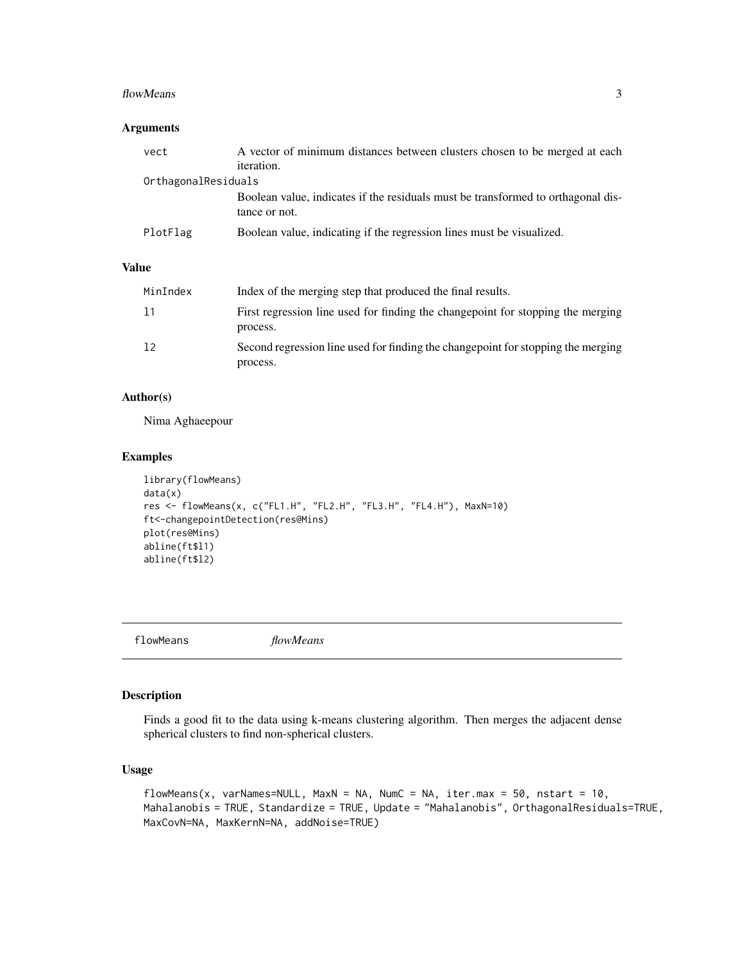#### <span id="page-2-0"></span>flowMeans 3

#### Arguments

| vect                | A vector of minimum distances between clusters chosen to be merged at each                        |
|---------------------|---------------------------------------------------------------------------------------------------|
|                     | <i>iteration.</i>                                                                                 |
| OrthagonalResiduals |                                                                                                   |
|                     | Boolean value, indicates if the residuals must be transformed to orthagonal dis-<br>tance or not. |
| PlotFlag            | Boolean value, indicating if the regression lines must be visualized.                             |

#### Value

| MinIndex | Index of the merging step that produced the final results.                                   |
|----------|----------------------------------------------------------------------------------------------|
| 11       | First regression line used for finding the changepoint for stopping the merging<br>process.  |
| 12       | Second regression line used for finding the changepoint for stopping the merging<br>process. |

#### Author(s)

Nima Aghaeepour

#### Examples

```
library(flowMeans)
data(x)
res <- flowMeans(x, c("FL1.H", "FL2.H", "FL3.H", "FL4.H"), MaxN=10)
ft<-changepointDetection(res@Mins)
plot(res@Mins)
abline(ft$l1)
abline(ft$l2)
```
<span id="page-2-1"></span>flowMeans *flowMeans*

#### Description

Finds a good fit to the data using k-means clustering algorithm. Then merges the adjacent dense spherical clusters to find non-spherical clusters.

#### Usage

flowMeans(x, varNames=NULL, MaxN = NA, NumC = NA, iter.max = 50, nstart = 10, Mahalanobis = TRUE, Standardize = TRUE, Update = "Mahalanobis", OrthagonalResiduals=TRUE, MaxCovN=NA, MaxKernN=NA, addNoise=TRUE)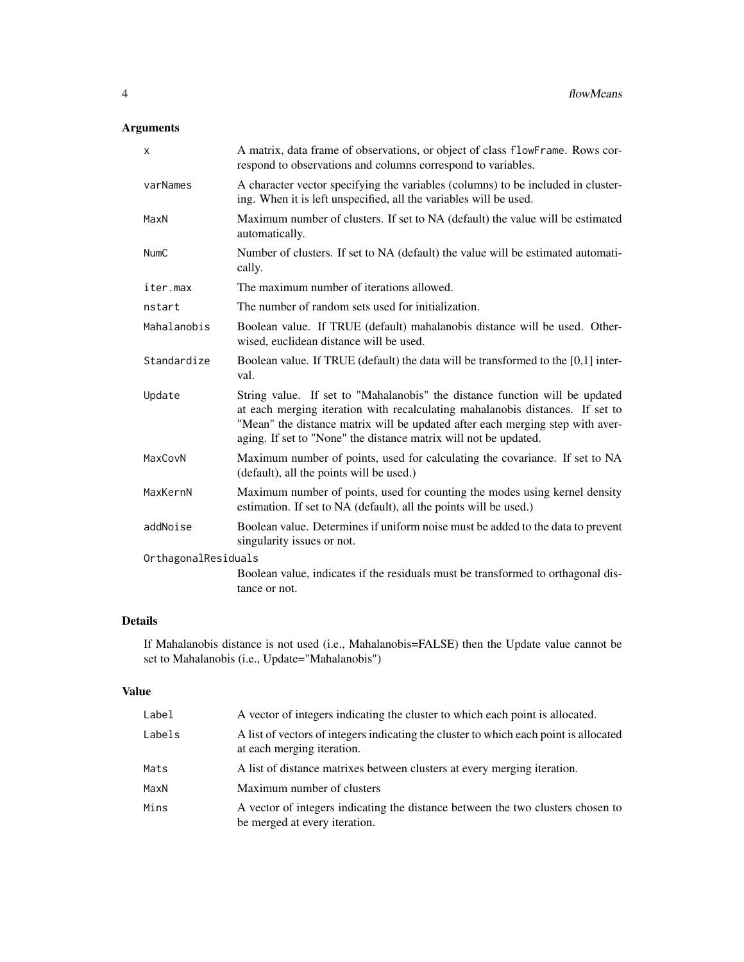#### Arguments

| X                   | A matrix, data frame of observations, or object of class flowFrame. Rows cor-<br>respond to observations and columns correspond to variables.                                                                                                                                                                     |  |
|---------------------|-------------------------------------------------------------------------------------------------------------------------------------------------------------------------------------------------------------------------------------------------------------------------------------------------------------------|--|
| varNames            | A character vector specifying the variables (columns) to be included in cluster-<br>ing. When it is left unspecified, all the variables will be used.                                                                                                                                                             |  |
| MaxN                | Maximum number of clusters. If set to NA (default) the value will be estimated<br>automatically.                                                                                                                                                                                                                  |  |
| <b>NumC</b>         | Number of clusters. If set to NA (default) the value will be estimated automati-<br>cally.                                                                                                                                                                                                                        |  |
| iter.max            | The maximum number of iterations allowed.                                                                                                                                                                                                                                                                         |  |
| nstart              | The number of random sets used for initialization.                                                                                                                                                                                                                                                                |  |
| Mahalanobis         | Boolean value. If TRUE (default) mahalanobis distance will be used. Other-<br>wised, euclidean distance will be used.                                                                                                                                                                                             |  |
| Standardize         | Boolean value. If TRUE (default) the data will be transformed to the $[0,1]$ inter-<br>val.                                                                                                                                                                                                                       |  |
| Update              | String value. If set to "Mahalanobis" the distance function will be updated<br>at each merging iteration with recalculating mahalanobis distances. If set to<br>"Mean" the distance matrix will be updated after each merging step with aver-<br>aging. If set to "None" the distance matrix will not be updated. |  |
| MaxCovN             | Maximum number of points, used for calculating the covariance. If set to NA<br>(default), all the points will be used.)                                                                                                                                                                                           |  |
| MaxKernN            | Maximum number of points, used for counting the modes using kernel density<br>estimation. If set to NA (default), all the points will be used.)                                                                                                                                                                   |  |
| addNoise            | Boolean value. Determines if uniform noise must be added to the data to prevent<br>singularity issues or not.                                                                                                                                                                                                     |  |
| OrthagonalResiduals |                                                                                                                                                                                                                                                                                                                   |  |
|                     | Boolean value, indicates if the residuals must be transformed to orthagonal dis-<br>tance or not.                                                                                                                                                                                                                 |  |

#### Details

If Mahalanobis distance is not used (i.e., Mahalanobis=FALSE) then the Update value cannot be set to Mahalanobis (i.e., Update="Mahalanobis")

#### Value

| Label  | A vector of integers indicating the cluster to which each point is allocated.                                       |
|--------|---------------------------------------------------------------------------------------------------------------------|
| Labels | A list of vectors of integers indicating the cluster to which each point is allocated<br>at each merging iteration. |
| Mats   | A list of distance matrixes between clusters at every merging iteration.                                            |
| MaxN   | Maximum number of clusters                                                                                          |
| Mins   | A vector of integers indicating the distance between the two clusters chosen to<br>be merged at every iteration.    |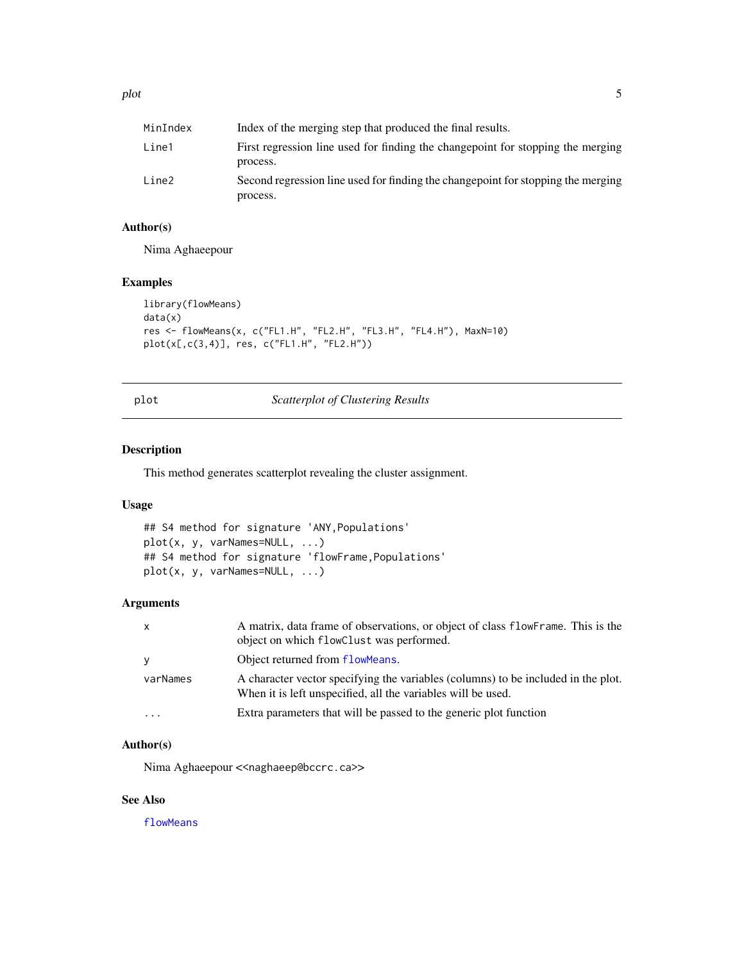<span id="page-4-0"></span>

| MinIndex | Index of the merging step that produced the final results.                                   |
|----------|----------------------------------------------------------------------------------------------|
| Line1    | First regression line used for finding the changepoint for stopping the merging<br>process.  |
| Line2    | Second regression line used for finding the changepoint for stopping the merging<br>process. |

#### Author(s)

Nima Aghaeepour

#### Examples

```
library(flowMeans)
data(x)
res <- flowMeans(x, c("FL1.H", "FL2.H", "FL3.H", "FL4.H"), MaxN=10)
plot(x[,c(3,4)], res, c("FL1.H", "FL2.H"))
```
plot *Scatterplot of Clustering Results*

#### Description

This method generates scatterplot revealing the cluster assignment.

#### Usage

```
## S4 method for signature 'ANY,Populations'
plot(x, y, varNames=NULL, ...)
## S4 method for signature 'flowFrame,Populations'
plot(x, y, varNames=NULL, ...)
```
#### Arguments

| $\mathsf{x}$            | A matrix, data frame of observations, or object of class flowFrame. This is the<br>object on which flowClust was performed.                       |
|-------------------------|---------------------------------------------------------------------------------------------------------------------------------------------------|
| У                       | Object returned from flowMeans.                                                                                                                   |
| varNames                | A character vector specifying the variables (columns) to be included in the plot.<br>When it is left unspecified, all the variables will be used. |
| $\cdot$ $\cdot$ $\cdot$ | Extra parameters that will be passed to the generic plot function                                                                                 |

#### Author(s)

Nima Aghaeepour << naghaeep@bccrc.ca>>

#### See Also

[flowMeans](#page-2-1)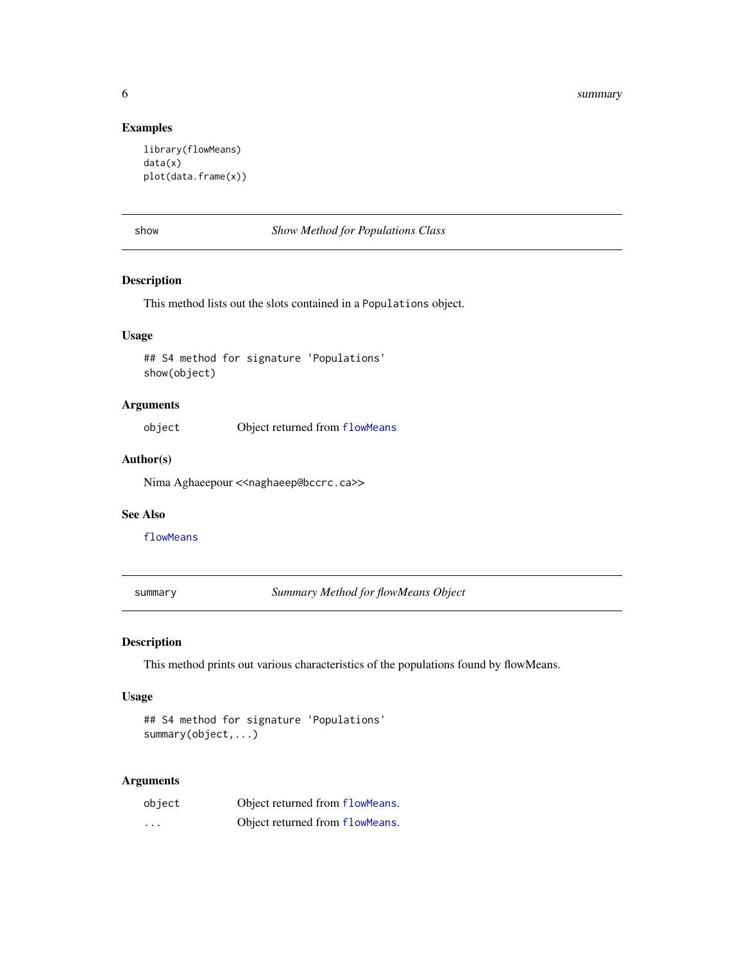#### Examples

```
library(flowMeans)
data(x)
plot(data.frame(x))
```

| M.<br>۰. | ٦<br>۰,<br>M. | × |
|----------|---------------|---|
|          |               |   |

show *Show Method for Populations Class*

#### Description

This method lists out the slots contained in a Populations object.

#### Usage

## S4 method for signature 'Populations' show(object)

#### Arguments

object Object returned from [flowMeans](#page-2-1)

#### Author(s)

Nima Aghaeepour << naghaeep@bccrc.ca>>

#### See Also

[flowMeans](#page-2-1)

summary *Summary Method for flowMeans Object*

#### Description

This method prints out various characteristics of the populations found by flowMeans.

#### Usage

```
## S4 method for signature 'Populations'
summary(object,...)
```
#### Arguments

| object   | Object returned from flowMeans. |
|----------|---------------------------------|
| $\cdots$ | Object returned from flowMeans. |

<span id="page-5-0"></span>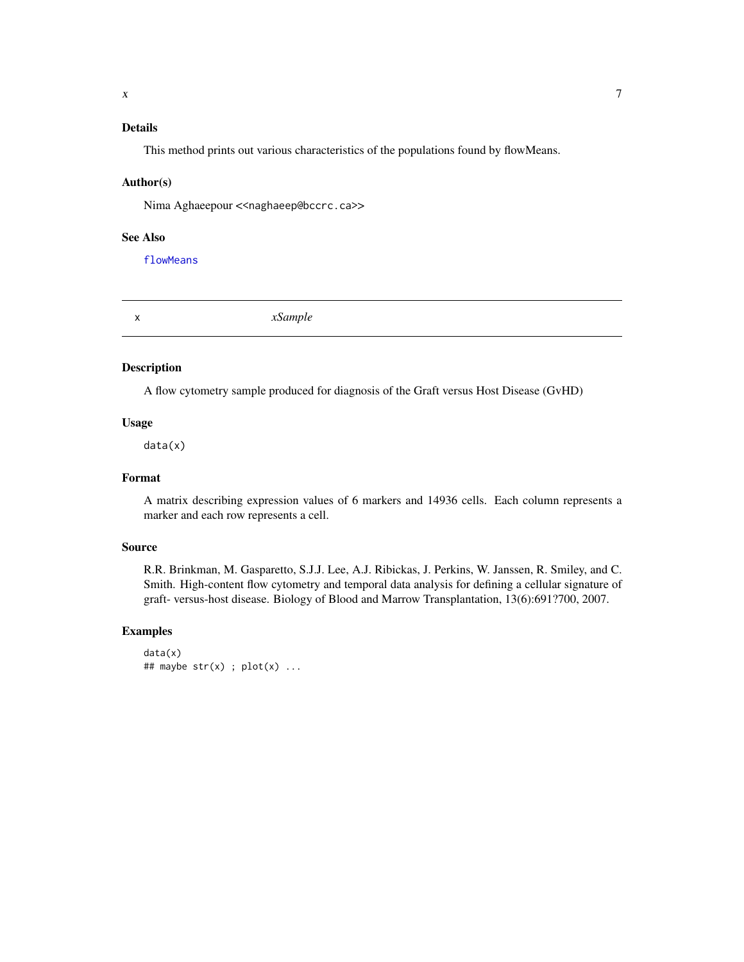#### <span id="page-6-0"></span>Details

This method prints out various characteristics of the populations found by flowMeans.

#### Author(s)

Nima Aghaeepour << naghaeep@bccrc.ca>>

#### See Also

[flowMeans](#page-2-1)

x *xSample*

#### Description

A flow cytometry sample produced for diagnosis of the Graft versus Host Disease (GvHD)

#### Usage

data(x)

#### Format

A matrix describing expression values of 6 markers and 14936 cells. Each column represents a marker and each row represents a cell.

#### Source

R.R. Brinkman, M. Gasparetto, S.J.J. Lee, A.J. Ribickas, J. Perkins, W. Janssen, R. Smiley, and C. Smith. High-content flow cytometry and temporal data analysis for defining a cellular signature of graft- versus-host disease. Biology of Blood and Marrow Transplantation, 13(6):691?700, 2007.

#### Examples

```
data(x)
## maybe str(x); plot(x)...
```